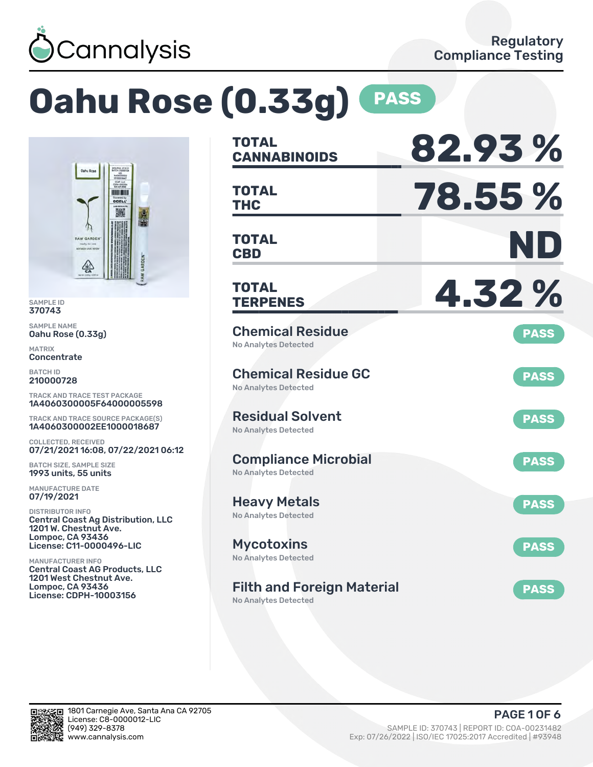

# **Oahu Rose (0.33g) PASS**



SAMPLE ID 370743

SAMPLE NAME Oahu Rose (0.33g)

MATRIX **Concentrate** 

BATCH ID 210000728

TRACK AND TRACE TEST PACKAGE 1A4060300005F64000005598

TRACK AND TRACE SOURCE PACKAGE(S) 1A4060300002EE1000018687

COLLECTED, RECEIVED 07/21/2021 16:08, 07/22/2021 06:12

BATCH SIZE, SAMPLE SIZE 1993 units, 55 units

MANUFACTURE DATE 07/19/2021

DISTRIBUTOR INFO Central Coast Ag Distribution, LLC 1201 W. Chestnut Ave. Lompoc, CA 93436 License: C11-0000496-LIC

MANUFACTURER INFO Central Coast AG Products, LLC 1201 West Chestnut Ave. Lompoc, CA 93436 License: CDPH-10003156

| <b>TOTAL</b><br><b>CANNABINOIDS</b>                        | 82.93%      |
|------------------------------------------------------------|-------------|
| TOTAL<br>THC                                               | 78.55 %     |
| <b>TOTAL</b><br><b>CBD</b>                                 | ND          |
| TOTAL<br><b>TERPENES</b>                                   | 4.32%       |
| <b>Chemical Residue</b><br><b>No Analytes Detected</b>     | <b>PASS</b> |
| <b>Chemical Residue GC</b><br>No Analytes Detected         | <b>PASS</b> |
| <b>Residual Solvent</b><br><b>No Analytes Detected</b>     | <b>PASS</b> |
| <b>Compliance Microbial</b><br><b>No Analytes Detected</b> | <b>PASS</b> |
| <b>Heavy Metals</b><br><b>No Analytes Detected</b>         | <b>PASS</b> |
| <b>Mycotoxins</b><br>No Analytes Detected                  | <b>PASS</b> |
| <b>Filth and Foreign Material</b><br>No Analytes Detected  | <b>PASS</b> |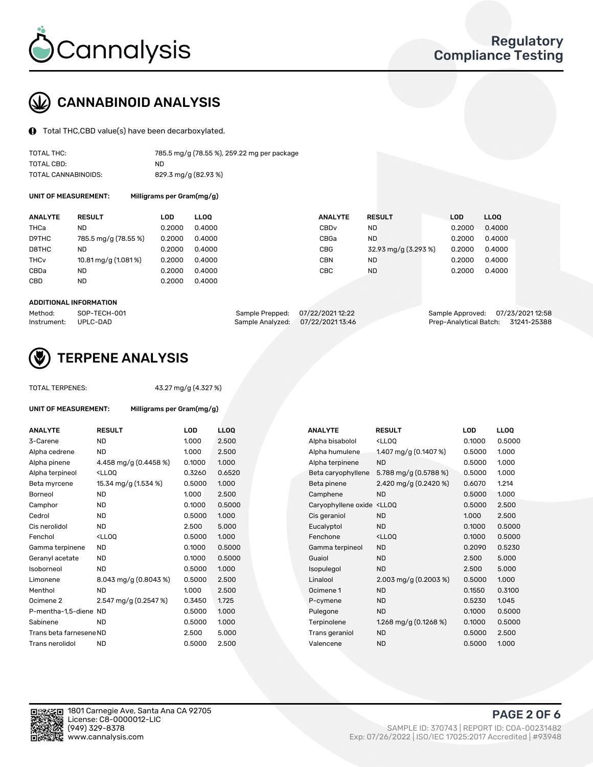

## CANNABINOID ANALYSIS

Total THC,CBD value(s) have been decarboxylated.

| TOTAL THC:          | 785.5 mg/g (78.55 %), 259.22 mg per package |
|---------------------|---------------------------------------------|
| TOTAL CBD:          | ND.                                         |
| TOTAL CANNABINOIDS: | 829.3 mg/g (82.93 %)                        |

UNIT OF MEASUREMENT: Milligrams per Gram(mg/g)

| <b>ANALYTE</b>         | <b>RESULT</b>        | LOD    | <b>LLOO</b> | <b>ANALYTE</b>   | <b>RESULT</b>        | <b>LOD</b> | <b>LLOO</b> |
|------------------------|----------------------|--------|-------------|------------------|----------------------|------------|-------------|
| THCa                   | ND                   | 0.2000 | 0.4000      | CBD <sub>v</sub> | <b>ND</b>            | 0.2000     | 0.4000      |
| D9THC                  | 785.5 mg/g (78.55 %) | 0.2000 | 0.4000      | CBGa             | <b>ND</b>            | 0.2000     | 0.4000      |
| D8THC                  | ND                   | 0.2000 | 0.4000      | CBG              | 32.93 mg/g (3.293 %) | 0.2000     | 0.4000      |
| <b>THC<sub>v</sub></b> | 10.81 mg/g (1.081 %) | 0.2000 | 0.4000      | <b>CBN</b>       | ND                   | 0.2000     | 0.4000      |
| CBDa                   | ND                   | 0.2000 | 0.4000      | CBC              | <b>ND</b>            | 0.2000     | 0.4000      |
| CBD                    | ND                   | 0.2000 | 0.4000      |                  |                      |            |             |
|                        |                      |        |             |                  |                      |            |             |

#### ADDITIONAL INFORMATION

| Method:              | SOP-TECH-001 | Sample Prepped: 07/22/2021 12:22 |                                   | Sample Approved: 07/23/2021 12:58  |  |
|----------------------|--------------|----------------------------------|-----------------------------------|------------------------------------|--|
| Instrument: UPLC-DAD |              |                                  | Sample Analyzed: 07/22/2021 13:46 | Prep-Analytical Batch: 31241-25388 |  |



## TERPENE ANALYSIS

| <b>TOTAL TERPENES:</b>      |                                                   | 43.27 mg/g (4.327 %) |                  |  |  |  |  |  |
|-----------------------------|---------------------------------------------------|----------------------|------------------|--|--|--|--|--|
| <b>UNIT OF MEASUREMENT:</b> | Milligrams per Gram(mg/g)                         |                      |                  |  |  |  |  |  |
| <b>ANALYTE</b>              | <b>RESULT</b>                                     | LOD                  | <b>LLC</b>       |  |  |  |  |  |
| 3-Carene                    | <b>ND</b>                                         | 1.000                | 2.5 <sub>0</sub> |  |  |  |  |  |
| Alpha cedrene               | ND.                                               | 1.000                | 2.5 <sub>0</sub> |  |  |  |  |  |
| Alpha pinene                | 4.458 mg/g $(0.4458\%)$                           | 0.1000               | 1.0(             |  |  |  |  |  |
| Alpha terpineol             | <lloq< td=""><td>0.3260</td><td>0.6</td></lloq<>  | 0.3260               | 0.6              |  |  |  |  |  |
| Beta myrcene                | 15.34 mg/g (1.534 %)                              | 0.5000               | 1.0(             |  |  |  |  |  |
| Borneol                     | <b>ND</b>                                         | 1.000                | 2.5 <sub>0</sub> |  |  |  |  |  |
| Camphor                     | <b>ND</b>                                         | 0.1000               | 0.5              |  |  |  |  |  |
| Cedrol                      | <b>ND</b>                                         | 0.5000               | 1.0(             |  |  |  |  |  |
| Cis nerolidol               | ND.                                               | 2.500                | 5.0              |  |  |  |  |  |
| Fenchol                     | <lloo< td=""><td>0.5000</td><td>1.0(</td></lloo<> | 0.5000               | 1.0(             |  |  |  |  |  |
| Gamma terpinene             | <b>ND</b>                                         | 0.1000               | 0.5              |  |  |  |  |  |
| Geranyl acetate             | ND.                                               | 0.1000               | 0.5              |  |  |  |  |  |
| Isoborneol                  | ND.                                               | 0.5000               | 1.0(             |  |  |  |  |  |
| Limonene                    | $8.043$ mg/g $(0.8043%)$                          | 0.5000               | 2.5 <sub>0</sub> |  |  |  |  |  |
| Menthol                     | <b>ND</b>                                         | 1.000                | 2.5 <sub>0</sub> |  |  |  |  |  |
| Ocimene <sub>2</sub>        | 2.547 mg/g $(0.2547%)$                            | 0.3450               | 1.72             |  |  |  |  |  |
| P-mentha-1,5-diene ND       |                                                   | 0.5000               | 1.0(             |  |  |  |  |  |
| Sabinene                    | ND                                                | 0.5000               | 1.0(             |  |  |  |  |  |
| Trans beta farnesene ND     |                                                   | 2.500                | 5.0              |  |  |  |  |  |
| Trans nerolidol             | ND                                                | 0.5000               | 2.5 <sub>0</sub> |  |  |  |  |  |
|                             |                                                   |                      |                  |  |  |  |  |  |

| ANALYTE                 | <b>RESULT</b>                                                                                                                                          | <b>LOD</b> | <b>LLOQ</b> | <b>ANALYTE</b>      | <b>RESULT</b>                                       | <b>LOD</b> | <b>LLOQ</b> |
|-------------------------|--------------------------------------------------------------------------------------------------------------------------------------------------------|------------|-------------|---------------------|-----------------------------------------------------|------------|-------------|
| 3-Carene                | <b>ND</b>                                                                                                                                              | 1.000      | 2.500       | Alpha bisabolol     | <ll0q< td=""><td>0.1000</td><td>0.5000</td></ll0q<> | 0.1000     | 0.5000      |
| Alpha cedrene           | <b>ND</b>                                                                                                                                              | 1.000      | 2.500       | Alpha humulene      | 1.407 mg/g (0.1407 %)                               | 0.5000     | 1.000       |
| Alpha pinene            | 4.458 mg/g $(0.4458\%)$                                                                                                                                | 0.1000     | 1.000       | Alpha terpinene     | <b>ND</b>                                           | 0.5000     | 1.000       |
| Alpha terpineol         | <lloq< td=""><td>0.3260</td><td>0.6520</td><td>Beta caryophyllene</td><td>5.788 mg/g <math>(0.5788\%)</math></td><td>0.5000</td><td>1.000</td></lloq<> | 0.3260     | 0.6520      | Beta caryophyllene  | 5.788 mg/g $(0.5788\%)$                             | 0.5000     | 1.000       |
| Beta myrcene            | 15.34 mg/g (1.534 %)                                                                                                                                   | 0.5000     | 1.000       | Beta pinene         | 2.420 mg/g (0.2420 %)                               | 0.6070     | 1.214       |
| Borneol                 | <b>ND</b>                                                                                                                                              | 1.000      | 2.500       | Camphene            | <b>ND</b>                                           | 0.5000     | 1.000       |
| Camphor                 | <b>ND</b>                                                                                                                                              | 0.1000     | 0.5000      | Caryophyllene oxide | <lloq< td=""><td>0.5000</td><td>2.500</td></lloq<>  | 0.5000     | 2.500       |
| Cedrol                  | <b>ND</b>                                                                                                                                              | 0.5000     | 1.000       | Cis geraniol        | <b>ND</b>                                           | 1.000      | 2.500       |
| Cis nerolidol           | <b>ND</b>                                                                                                                                              | 2.500      | 5.000       | Eucalyptol          | <b>ND</b>                                           | 0.1000     | 0.5000      |
| Fenchol                 | <lloq< td=""><td>0.5000</td><td>1.000</td><td>Fenchone</td><td><lloq< td=""><td>0.1000</td><td>0.5000</td></lloq<></td></lloq<>                        | 0.5000     | 1.000       | Fenchone            | <lloq< td=""><td>0.1000</td><td>0.5000</td></lloq<> | 0.1000     | 0.5000      |
| Gamma terpinene         | <b>ND</b>                                                                                                                                              | 0.1000     | 0.5000      | Gamma terpineol     | <b>ND</b>                                           | 0.2090     | 0.5230      |
| Geranyl acetate         | ND.                                                                                                                                                    | 0.1000     | 0.5000      | Guaiol              | <b>ND</b>                                           | 2.500      | 5.000       |
| Isoborneol              | <b>ND</b>                                                                                                                                              | 0.5000     | 1.000       | Isopulegol          | <b>ND</b>                                           | 2.500      | 5.000       |
| Limonene                | 8.043 mg/g (0.8043 %)                                                                                                                                  | 0.5000     | 2.500       | Linalool            | 2.003 mg/g $(0.2003\%)$                             | 0.5000     | 1.000       |
| Menthol                 | ND.                                                                                                                                                    | 1.000      | 2.500       | Ocimene 1           | <b>ND</b>                                           | 0.1550     | 0.3100      |
| Ocimene 2               | 2.547 mg/g (0.2547 %)                                                                                                                                  | 0.3450     | 1.725       | P-cymene            | <b>ND</b>                                           | 0.5230     | 1.045       |
| P-mentha-1,5-diene ND   |                                                                                                                                                        | 0.5000     | 1.000       | Pulegone            | <b>ND</b>                                           | 0.1000     | 0.5000      |
| Sabinene                | <b>ND</b>                                                                                                                                              | 0.5000     | 1.000       | Terpinolene         | 1.268 mg/g $(0.1268\%)$                             | 0.1000     | 0.5000      |
| Trans beta farnesene ND |                                                                                                                                                        | 2.500      | 5.000       | Trans geraniol      | <b>ND</b>                                           | 0.5000     | 2.500       |
| Trans nerolidol         | <b>ND</b>                                                                                                                                              | 0.5000     | 2.500       | Valencene           | <b>ND</b>                                           | 0.5000     | 1.000       |

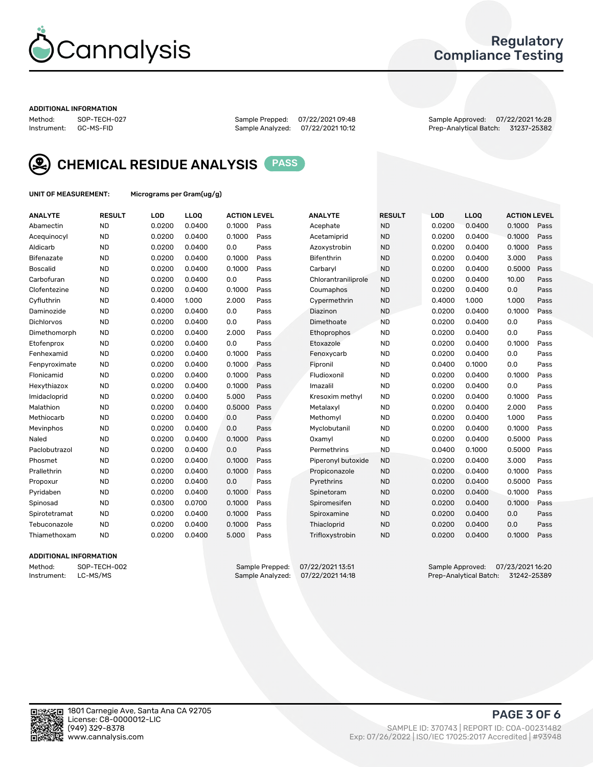

## Regulatory Compliance Testing

#### ADDITIONAL INFORMATION

Method: SOP-TECH-027 Sample Prepped: 07/22/2021 09:48 Sample Approved: 07/22/2021 16:28 Prep-Analytical Batch: 31237-25382



CHEMICAL RESIDUE ANALYSIS PASS

UNIT OF MEASUREMENT: Micrograms per Gram(ug/g)

| <b>ANALYTE</b>    | <b>RESULT</b> | LOD    | LL <sub>OO</sub> | <b>ACTION LEVEL</b> |      | <b>ANALYTE</b>      | <b>RESULT</b> | LOD    | <b>LLOO</b> | <b>ACTION LEVEL</b> |      |
|-------------------|---------------|--------|------------------|---------------------|------|---------------------|---------------|--------|-------------|---------------------|------|
| Abamectin         | <b>ND</b>     | 0.0200 | 0.0400           | 0.1000              | Pass | Acephate            | <b>ND</b>     | 0.0200 | 0.0400      | 0.1000              | Pass |
| Acequinocyl       | <b>ND</b>     | 0.0200 | 0.0400           | 0.1000              | Pass | Acetamiprid         | <b>ND</b>     | 0.0200 | 0.0400      | 0.1000              | Pass |
| Aldicarb          | <b>ND</b>     | 0.0200 | 0.0400           | 0.0                 | Pass | Azoxystrobin        | <b>ND</b>     | 0.0200 | 0.0400      | 0.1000              | Pass |
| Bifenazate        | <b>ND</b>     | 0.0200 | 0.0400           | 0.1000              | Pass | <b>Bifenthrin</b>   | <b>ND</b>     | 0.0200 | 0.0400      | 3.000               | Pass |
| <b>Boscalid</b>   | <b>ND</b>     | 0.0200 | 0.0400           | 0.1000              | Pass | Carbaryl            | <b>ND</b>     | 0.0200 | 0.0400      | 0.5000              | Pass |
| Carbofuran        | <b>ND</b>     | 0.0200 | 0.0400           | 0.0                 | Pass | Chlorantraniliprole | <b>ND</b>     | 0.0200 | 0.0400      | 10.00               | Pass |
| Clofentezine      | <b>ND</b>     | 0.0200 | 0.0400           | 0.1000              | Pass | Coumaphos           | <b>ND</b>     | 0.0200 | 0.0400      | 0.0                 | Pass |
| Cyfluthrin        | <b>ND</b>     | 0.4000 | 1.000            | 2.000               | Pass | Cypermethrin        | <b>ND</b>     | 0.4000 | 1.000       | 1.000               | Pass |
| Daminozide        | <b>ND</b>     | 0.0200 | 0.0400           | 0.0                 | Pass | Diazinon            | <b>ND</b>     | 0.0200 | 0.0400      | 0.1000              | Pass |
| <b>Dichlorvos</b> | <b>ND</b>     | 0.0200 | 0.0400           | 0.0                 | Pass | Dimethoate          | <b>ND</b>     | 0.0200 | 0.0400      | 0.0                 | Pass |
| Dimethomorph      | <b>ND</b>     | 0.0200 | 0.0400           | 2.000               | Pass | Ethoprophos         | <b>ND</b>     | 0.0200 | 0.0400      | 0.0                 | Pass |
| Etofenprox        | <b>ND</b>     | 0.0200 | 0.0400           | 0.0                 | Pass | Etoxazole           | <b>ND</b>     | 0.0200 | 0.0400      | 0.1000              | Pass |
| Fenhexamid        | <b>ND</b>     | 0.0200 | 0.0400           | 0.1000              | Pass | Fenoxycarb          | <b>ND</b>     | 0.0200 | 0.0400      | 0.0                 | Pass |
| Fenpyroximate     | <b>ND</b>     | 0.0200 | 0.0400           | 0.1000              | Pass | Fipronil            | <b>ND</b>     | 0.0400 | 0.1000      | 0.0                 | Pass |
| Flonicamid        | <b>ND</b>     | 0.0200 | 0.0400           | 0.1000              | Pass | Fludioxonil         | <b>ND</b>     | 0.0200 | 0.0400      | 0.1000              | Pass |
| Hexythiazox       | <b>ND</b>     | 0.0200 | 0.0400           | 0.1000              | Pass | Imazalil            | <b>ND</b>     | 0.0200 | 0.0400      | 0.0                 | Pass |
| Imidacloprid      | <b>ND</b>     | 0.0200 | 0.0400           | 5.000               | Pass | Kresoxim methyl     | <b>ND</b>     | 0.0200 | 0.0400      | 0.1000              | Pass |
| Malathion         | <b>ND</b>     | 0.0200 | 0.0400           | 0.5000              | Pass | Metalaxyl           | <b>ND</b>     | 0.0200 | 0.0400      | 2.000               | Pass |
| Methiocarb        | <b>ND</b>     | 0.0200 | 0.0400           | 0.0                 | Pass | Methomyl            | <b>ND</b>     | 0.0200 | 0.0400      | 1.000               | Pass |
| Mevinphos         | <b>ND</b>     | 0.0200 | 0.0400           | 0.0                 | Pass | Myclobutanil        | <b>ND</b>     | 0.0200 | 0.0400      | 0.1000              | Pass |
| Naled             | <b>ND</b>     | 0.0200 | 0.0400           | 0.1000              | Pass | Oxamyl              | <b>ND</b>     | 0.0200 | 0.0400      | 0.5000              | Pass |
| Paclobutrazol     | <b>ND</b>     | 0.0200 | 0.0400           | 0.0                 | Pass | Permethrins         | <b>ND</b>     | 0.0400 | 0.1000      | 0.5000              | Pass |
| Phosmet           | <b>ND</b>     | 0.0200 | 0.0400           | 0.1000              | Pass | Piperonyl butoxide  | <b>ND</b>     | 0.0200 | 0.0400      | 3.000               | Pass |
| Prallethrin       | <b>ND</b>     | 0.0200 | 0.0400           | 0.1000              | Pass | Propiconazole       | <b>ND</b>     | 0.0200 | 0.0400      | 0.1000              | Pass |
| Propoxur          | <b>ND</b>     | 0.0200 | 0.0400           | 0.0                 | Pass | Pyrethrins          | <b>ND</b>     | 0.0200 | 0.0400      | 0.5000              | Pass |
| Pyridaben         | <b>ND</b>     | 0.0200 | 0.0400           | 0.1000              | Pass | Spinetoram          | <b>ND</b>     | 0.0200 | 0.0400      | 0.1000              | Pass |
| Spinosad          | <b>ND</b>     | 0.0300 | 0.0700           | 0.1000              | Pass | Spiromesifen        | <b>ND</b>     | 0.0200 | 0.0400      | 0.1000              | Pass |
| Spirotetramat     | <b>ND</b>     | 0.0200 | 0.0400           | 0.1000              | Pass | Spiroxamine         | <b>ND</b>     | 0.0200 | 0.0400      | 0.0                 | Pass |
| Tebuconazole      | <b>ND</b>     | 0.0200 | 0.0400           | 0.1000              | Pass | Thiacloprid         | <b>ND</b>     | 0.0200 | 0.0400      | 0.0                 | Pass |
| Thiamethoxam      | <b>ND</b>     | 0.0200 | 0.0400           | 5.000               | Pass | Trifloxystrobin     | <b>ND</b>     | 0.0200 | 0.0400      | 0.1000              | Pass |

#### ADDITIONAL INFORMATION

Method: SOP-TECH-002 Sample Prepped: 07/22/2021 13:51 Sample Approved: 07/23/2021 16:20<br>Instrument: LC-MS/MS Sample Analyzed: 07/22/2021 14:18 Prep-Analytical Batch: 31242-25389 Prep-Analytical Batch: 31242-25389

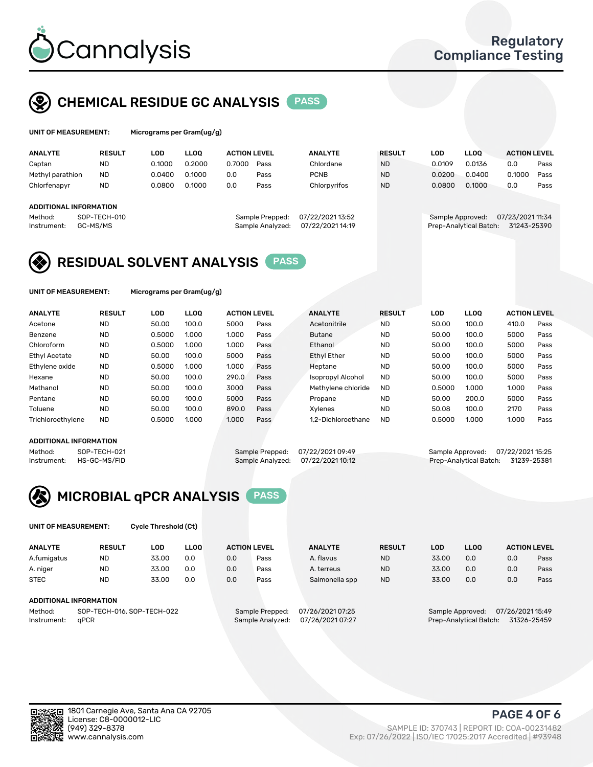

## CHEMICAL RESIDUE GC ANALYSIS PASS

| UNIT OF MEASUREMENT: | Micrograms per |
|----------------------|----------------|
|                      |                |

r Gram(ug/g)

| <b>ANALYTE</b>         | <b>RESULT</b>            | LOD    | <b>LLOO</b> | <b>ACTION LEVEL</b> |                                     | <b>ANALYTE</b>                     | <b>RESULT</b> | LOD    | <b>LLOO</b>                                | <b>ACTION LEVEL</b>             |      |
|------------------------|--------------------------|--------|-------------|---------------------|-------------------------------------|------------------------------------|---------------|--------|--------------------------------------------|---------------------------------|------|
| Captan                 | <b>ND</b>                | 0.1000 | 0.2000      | 0.7000              | Pass                                | Chlordane                          | <b>ND</b>     | 0.0109 | 0.0136                                     | 0.0                             | Pass |
| Methyl parathion       | <b>ND</b>                | 0.0400 | 0.1000      | 0.0                 | Pass                                | <b>PCNB</b>                        | <b>ND</b>     | 0.0200 | 0.0400                                     | 0.1000                          | Pass |
| Chlorfenapyr           | <b>ND</b>                | 0.0800 | 0.1000      | 0.0                 | Pass                                | Chlorpyrifos                       | <b>ND</b>     | 0.0800 | 0.1000                                     | 0.0                             | Pass |
| ADDITIONAL INFORMATION |                          |        |             |                     |                                     |                                    |               |        |                                            |                                 |      |
| Method:<br>Instrument: | SOP-TECH-010<br>GC-MS/MS |        |             |                     | Sample Prepped:<br>Sample Analyzed: | 07/22/202113:52<br>07/22/202114:19 |               |        | Sample Approved:<br>Prep-Analytical Batch: | 07/23/2021 11:34<br>31243-25390 |      |

## RESIDUAL SOLVENT ANALYSIS PASS

UNIT OF MEASUREMENT: Micrograms per Gram(ug/g)

| <b>ANALYTE</b>       | <b>RESULT</b> | LOD    | <b>LLOO</b> | <b>ACTION LEVEL</b> |      | <b>ANALYTE</b>           | <b>RESULT</b> | LOD    | <b>LLOO</b> | <b>ACTION LEVEL</b> |      |
|----------------------|---------------|--------|-------------|---------------------|------|--------------------------|---------------|--------|-------------|---------------------|------|
| Acetone              | <b>ND</b>     | 50.00  | 100.0       | 5000                | Pass | Acetonitrile             | <b>ND</b>     | 50.00  | 100.0       | 410.0               | Pass |
| Benzene              | <b>ND</b>     | 0.5000 | 1.000       | 1.000               | Pass | <b>Butane</b>            | <b>ND</b>     | 50.00  | 100.0       | 5000                | Pass |
| Chloroform           | <b>ND</b>     | 0.5000 | 1.000       | 1.000               | Pass | Ethanol                  | <b>ND</b>     | 50.00  | 100.0       | 5000                | Pass |
| <b>Ethyl Acetate</b> | <b>ND</b>     | 50.00  | 100.0       | 5000                | Pass | <b>Ethyl Ether</b>       | <b>ND</b>     | 50.00  | 100.0       | 5000                | Pass |
| Ethylene oxide       | <b>ND</b>     | 0.5000 | 1.000       | 1.000               | Pass | Heptane                  | <b>ND</b>     | 50.00  | 100.0       | 5000                | Pass |
| Hexane               | <b>ND</b>     | 50.00  | 100.0       | 290.0               | Pass | <b>Isopropyl Alcohol</b> | <b>ND</b>     | 50.00  | 100.0       | 5000                | Pass |
| Methanol             | <b>ND</b>     | 50.00  | 100.0       | 3000                | Pass | Methylene chloride       | <b>ND</b>     | 0.5000 | 1.000       | 1.000               | Pass |
| Pentane              | <b>ND</b>     | 50.00  | 100.0       | 5000                | Pass | Propane                  | <b>ND</b>     | 50.00  | 200.0       | 5000                | Pass |
| Toluene              | <b>ND</b>     | 50.00  | 100.0       | 890.0               | Pass | Xvlenes                  | <b>ND</b>     | 50.08  | 100.0       | 2170                | Pass |
| Trichloroethylene    | <b>ND</b>     | 0.5000 | 1.000       | 1.000               | Pass | 1.2-Dichloroethane       | <b>ND</b>     | 0.5000 | 1.000       | 1.000               | Pass |

#### ADDITIONAL INFORMATION

Method: SOP-TECH-021 Sample Prepped: 07/22/2021 09:49 Sample Approved: 07/22/2021 15:25<br>Instrument: HS-GC-MS/FID Sample Analyzed: 07/22/2021 10:12 Prep-Analytical Batch: 31239-25381 Prep-Analytical Batch: 31239-25381



UNIT OF MEASUREMENT: Cycle Threshold (Ct)

| <b>ANALYTE</b>         | <b>RESULT</b>               | LOD   | <b>LLOO</b> | <b>ACTION LEVEL</b> |                       | <b>ANALYTE</b> | <b>RESULT</b> | LOD               | LL <sub>00</sub> |     | <b>ACTION LEVEL</b> |
|------------------------|-----------------------------|-------|-------------|---------------------|-----------------------|----------------|---------------|-------------------|------------------|-----|---------------------|
| A.fumigatus            | <b>ND</b>                   | 33.00 | 0.0         | 0.0                 | Pass                  | A. flavus      | <b>ND</b>     | 33.00             | 0.0              | 0.0 | Pass                |
| A. niger               | <b>ND</b>                   | 33.00 | 0.0         | 0.0                 | Pass                  | A. terreus     | <b>ND</b>     | 33.00             | 0.0              | 0.0 | Pass                |
| <b>STEC</b>            | <b>ND</b>                   | 33.00 | 0.0         | 0.0                 | Pass                  | Salmonella spp | <b>ND</b>     | 33.00             | 0.0              | 0.0 | Pass                |
| ADDITIONAL INFORMATION |                             |       |             |                     |                       |                |               |                   |                  |     |                     |
| $M = H - H$            | COD TEQUI 044 COD TEQUI 000 |       |             | Consele Desposal    | $07/21$ (2004 $07.25$ |                |               | Comple Annualcodi | 07/24/202445.40  |     |                     |

Method: SOP-TECH-016, SOP-TECH-022 Sample Prepped: 07/26/2021 07: Instrument: qPCR Sample Analyzed: 07/26/2021 07:27 Prep-Analytical Batch: 31326-25459

PAGE 4 OF 6

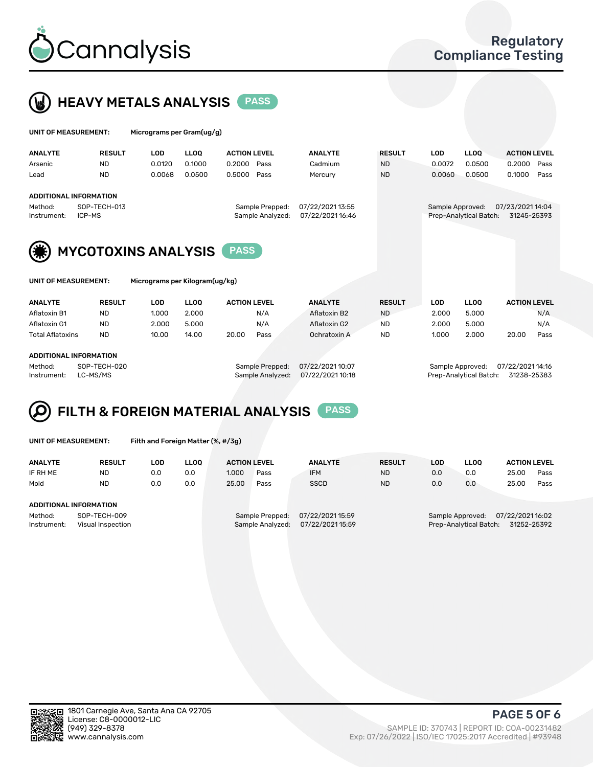



| UNIT OF MEASUREMENT:          |                            | Micrograms per Gram(ug/g) |             |                     |                  |               |                  |                        |                     |      |  |  |
|-------------------------------|----------------------------|---------------------------|-------------|---------------------|------------------|---------------|------------------|------------------------|---------------------|------|--|--|
| <b>ANALYTE</b>                | <b>RESULT</b>              | <b>LOD</b>                | <b>LLOO</b> | <b>ACTION LEVEL</b> | <b>ANALYTE</b>   | <b>RESULT</b> | <b>LOD</b>       | <b>LLOO</b>            | <b>ACTION LEVEL</b> |      |  |  |
| Arsenic                       | <b>ND</b>                  | 0.0120                    | 0.1000      | 0.2000<br>Pass      | Cadmium          | <b>ND</b>     | 0.0072           | 0.0500                 | 0.2000              | Pass |  |  |
| Lead                          | <b>ND</b>                  | 0.0068                    | 0.0500      | 0.5000<br>Pass      | Mercury          | <b>ND</b>     | 0.0060           | 0.0500                 | 0.1000              | Pass |  |  |
| <b>ADDITIONAL INFORMATION</b> |                            |                           |             |                     |                  |               |                  |                        |                     |      |  |  |
| Method:                       | SOP-TECH-013               |                           |             | Sample Prepped:     | 07/22/2021 13:55 |               | Sample Approved: |                        | 07/23/2021 14:04    |      |  |  |
| Instrument:                   | ICP-MS                     |                           |             | Sample Analyzed:    | 07/22/2021 16:46 |               |                  | Prep-Analytical Batch: | 31245-25393         |      |  |  |
| (美)                           | <b>MYCOTOXINS ANALYSIS</b> |                           |             | <b>PASS</b>         |                  |               |                  |                        |                     |      |  |  |

UNIT OF MEASUREMENT: Micrograms per Kilogram(ug/kg)

| <b>ANALYTE</b>          | <b>RESULT</b> | LOD   | LLOO  | <b>ACTION LEVEL</b> |      | <b>ANALYTE</b> | <b>RESULT</b> | LOD   | <b>LLOO</b> | <b>ACTION LEVEL</b> |      |
|-------------------------|---------------|-------|-------|---------------------|------|----------------|---------------|-------|-------------|---------------------|------|
| Aflatoxin B1            | <b>ND</b>     | 1.000 | 2.000 |                     | N/A  | Aflatoxin B2   | <b>ND</b>     | 2.000 | 5.000       |                     | N/A  |
| Aflatoxin G1            | <b>ND</b>     | 2.000 | 5.000 |                     | N/A  | Aflatoxin G2   | <b>ND</b>     | 2.000 | 5.000       |                     | N/A  |
| <b>Total Aflatoxins</b> | <b>ND</b>     | 10.00 | 14.00 | 20.00               | Pass | Ochratoxin A   | <b>ND</b>     | 1.000 | 2.000       | 20.00               | Pass |
|                         |               |       |       |                     |      |                |               |       |             |                     |      |
| ADDITIONAL INCODMATION  |               |       |       |                     |      |                |               |       |             |                     |      |

#### DDITIONAL INFORMATION

Method: SOP-TECH-020 Sample Prepped: 07/22/2021 10:07 Sample Approved: 07/22/2021 14:16 Instrument: LC-MS/MS Sample Analyzed: 07/22/2021 10:18 Prep-Analytical Batch: 31238-25383

# FILTH & FOREIGN MATERIAL ANALYSIS PASS

UNIT OF MEASUREMENT: Filth and Foreign Matter (%, #/3g)

| <b>ANALYTE</b>                | <b>RESULT</b>                     | LOD | <b>LLOO</b> | <b>ACTION LEVEL</b> |                                     | <b>ANALYTE</b>                      | <b>RESULT</b> | LOD | <b>LLOO</b>                                | <b>ACTION LEVEL</b>             |      |
|-------------------------------|-----------------------------------|-----|-------------|---------------------|-------------------------------------|-------------------------------------|---------------|-----|--------------------------------------------|---------------------------------|------|
| IF RH ME                      | <b>ND</b>                         | 0.0 | 0.0         | 1.000               | Pass                                | <b>IFM</b>                          | <b>ND</b>     | 0.0 | 0.0                                        | 25.00                           | Pass |
| Mold                          | <b>ND</b>                         | 0.0 | 0.0         | 25.00               | Pass                                | <b>SSCD</b>                         | <b>ND</b>     | 0.0 | 0.0                                        | 25.00                           | Pass |
| <b>ADDITIONAL INFORMATION</b> |                                   |     |             |                     |                                     |                                     |               |     |                                            |                                 |      |
| Method:<br>Instrument:        | SOP-TECH-009<br>Visual Inspection |     |             |                     | Sample Prepped:<br>Sample Analyzed: | 07/22/2021 15:59<br>07/22/202115:59 |               |     | Sample Approved:<br>Prep-Analytical Batch: | 07/22/2021 16:02<br>31252-25392 |      |